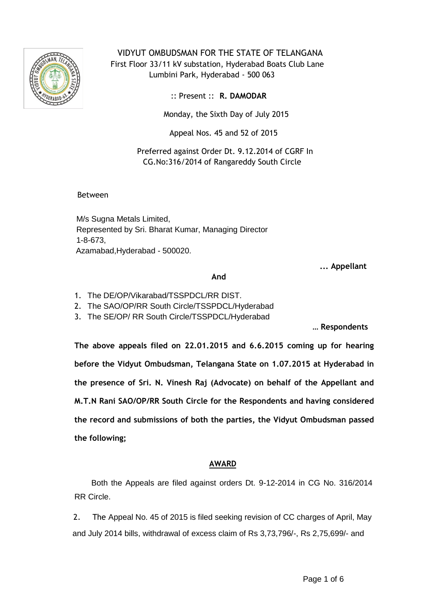

 VIDYUT OMBUDSMAN FOR THE STATE OF TELANGANA First Floor 33/11 kV substation, Hyderabad Boats Club Lane Lumbini Park, Hyderabad - 500 063

:: Present :: **R. DAMODAR**

Monday, the Sixth Day of July 2015

Appeal Nos. 45 and 52 of 2015

 Preferred against Order Dt. 9.12.2014 of CGRF In CG.No:316/2014 of Rangareddy South Circle

### Between

 M/s Sugna Metals Limited, Represented by Sri. Bharat Kumar, Managing Director 1-8-673, Azamabad,Hyderabad - 500020.

 **... Appellant**

#### *And*

- 1. The DE/OP/Vikarabad/TSSPDCL/RR DIST.
- 2. The SAO/OP/RR South Circle/TSSPDCL/Hyderabad
- 3. The SE/OP/ RR South Circle/TSSPDCL/Hyderabad

 **… Respondents**

**The above appeals filed on 22.01.2015 and 6.6.2015 coming up for hearing before the Vidyut Ombudsman, Telangana State on 1.07.2015 at Hyderabad in the presence of Sri. N. Vinesh Raj (Advocate) on behalf of the Appellant and M.T.N Rani SAO/OP/RR South Circle for the Respondents and having considered the record and submissions of both the parties, the Vidyut Ombudsman passed the following;**

## **AWARD**

Both the Appeals are filed against orders Dt. 9-12-2014 in CG No. 316/2014 RR Circle.

 2. The Appeal No. 45 of 2015 is filed seeking revision of CC charges of April, May and July 2014 bills, withdrawal of excess claim of Rs 3,73,796/-, Rs 2,75,699/- and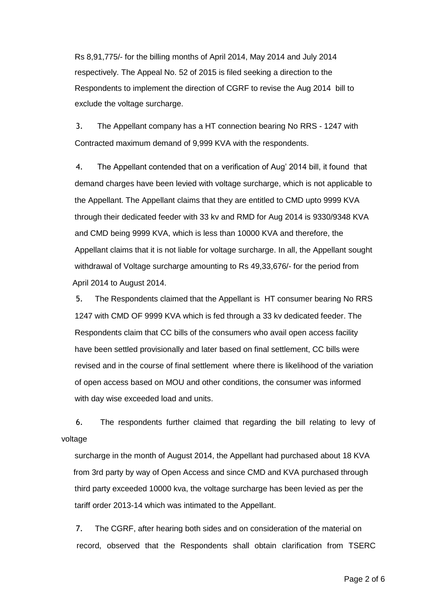Rs 8,91,775/- for the billing months of April 2014, May 2014 and July 2014 respectively. The Appeal No. 52 of 2015 is filed seeking a direction to the Respondents to implement the direction of CGRF to revise the Aug 2014 bill to exclude the voltage surcharge.

 3. The Appellant company has a HT connection bearing No RRS - 1247 with Contracted maximum demand of 9,999 KVA with the respondents.

 4. The Appellant contended that on a verification of Aug' 2014 bill, it found that demand charges have been levied with voltage surcharge, which is not applicable to the Appellant. The Appellant claims that they are entitled to CMD upto 9999 KVA through their dedicated feeder with 33 kv and RMD for Aug 2014 is 9330/9348 KVA and CMD being 9999 KVA, which is less than 10000 KVA and therefore, the Appellant claims that it is not liable for voltage surcharge. In all, the Appellant sought withdrawal of Voltage surcharge amounting to Rs 49,33,676/- for the period from April 2014 to August 2014.

 5. The Respondents claimed that the Appellant is HT consumer bearing No RRS 1247 with CMD OF 9999 KVA which is fed through a 33 kv dedicated feeder. The Respondents claim that CC bills of the consumers who avail open access facility have been settled provisionally and later based on final settlement, CC bills were revised and in the course of final settlement where there is likelihood of the variation of open access based on MOU and other conditions, the consumer was informed with day wise exceeded load and units.

 6. The respondents further claimed that regarding the bill relating to levy of voltage

 surcharge in the month of August 2014, the Appellant had purchased about 18 KVA from 3rd party by way of Open Access and since CMD and KVA purchased through third party exceeded 10000 kva, the voltage surcharge has been levied as per the tariff order 2013-14 which was intimated to the Appellant.

 7. The CGRF, after hearing both sides and on consideration of the material on record, observed that the Respondents shall obtain clarification from TSERC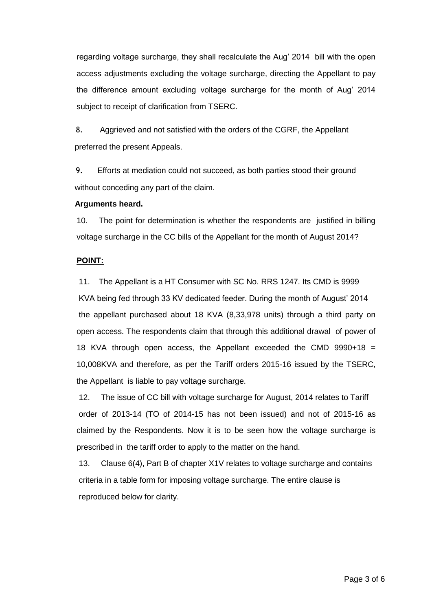regarding voltage surcharge, they shall recalculate the Aug' 2014 bill with the open access adjustments excluding the voltage surcharge, directing the Appellant to pay the difference amount excluding voltage surcharge for the month of Aug' 2014 subject to receipt of clarification from TSERC.

 8. Aggrieved and not satisfied with the orders of the CGRF, the Appellant preferred the present Appeals.

 9. Efforts at mediation could not succeed, as both parties stood their ground without conceding any part of the claim.

#### **Arguments heard.**

10. The point for determination is whether the respondents are justified in billing voltage surcharge in the CC bills of the Appellant for the month of August 2014?

## **POINT:**

11. The Appellant is a HT Consumer with SC No. RRS 1247. Its CMD is 9999 KVA being fed through 33 KV dedicated feeder. During the month of August' 2014 the appellant purchased about 18 KVA (8,33,978 units) through a third party on open access. The respondents claim that through this additional drawal of power of 18 KVA through open access, the Appellant exceeded the CMD 9990+18 = 10,008KVA and therefore, as per the Tariff orders 2015-16 issued by the TSERC, the Appellant is liable to pay voltage surcharge.

12. The issue of CC bill with voltage surcharge for August, 2014 relates to Tariff order of 2013-14 (TO of 2014-15 has not been issued) and not of 2015-16 as claimed by the Respondents. Now it is to be seen how the voltage surcharge is prescribed in the tariff order to apply to the matter on the hand.

13. Clause 6(4), Part B of chapter X1V relates to voltage surcharge and contains criteria in a table form for imposing voltage surcharge. The entire clause is reproduced below for clarity.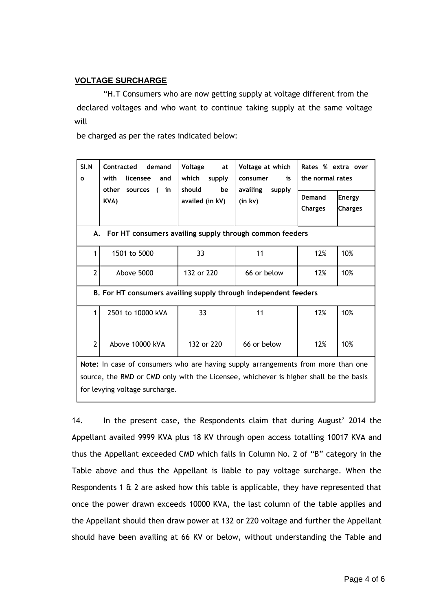# **VOLTAGE SURCHARGE**

 "H.T Consumers who are now getting supply at voltage different from the declared voltages and who want to continue taking supply at the same voltage will

be charged as per the rates indicated below:

| SI.N<br>$\mathbf{o}$                                                                  | Contracted<br>demand<br>licensee<br>with<br>and<br>other<br>$(i)$ in<br>sources<br>KVA) | Voltage<br>at<br>which<br>supply<br>should<br>be<br>availed (in kV) | Voltage at which<br>is<br>consumer<br>availing<br>supply<br>(in kv) | Rates % extra over<br>the normal rates<br><b>Energy</b><br>Demand |                |
|---------------------------------------------------------------------------------------|-----------------------------------------------------------------------------------------|---------------------------------------------------------------------|---------------------------------------------------------------------|-------------------------------------------------------------------|----------------|
|                                                                                       |                                                                                         |                                                                     |                                                                     | <b>Charges</b>                                                    | <b>Charges</b> |
| A. For HT consumers availing supply through common feeders                            |                                                                                         |                                                                     |                                                                     |                                                                   |                |
| 1                                                                                     | 1501 to 5000                                                                            | 33                                                                  | 11                                                                  | 12%                                                               | 10%            |
| $\overline{2}$                                                                        | Above 5000                                                                              | 132 or 220                                                          | 66 or below                                                         | 12%                                                               | 10%            |
| B. For HT consumers availing supply through independent feeders                       |                                                                                         |                                                                     |                                                                     |                                                                   |                |
| 1                                                                                     | 2501 to 10000 kVA                                                                       | 33                                                                  | 11                                                                  | 12%                                                               | 10%            |
| $\overline{\phantom{a}}$                                                              | Above 10000 kVA                                                                         | 132 or 220                                                          | 66 or below                                                         | 12%                                                               | 10%            |
| Note: In case of consumers who are having supply arrangements from more than one      |                                                                                         |                                                                     |                                                                     |                                                                   |                |
| source, the RMD or CMD only with the Licensee, whichever is higher shall be the basis |                                                                                         |                                                                     |                                                                     |                                                                   |                |
| for levying voltage surcharge.                                                        |                                                                                         |                                                                     |                                                                     |                                                                   |                |

14. In the present case, the Respondents claim that during August' 2014 the Appellant availed 9999 KVA plus 18 KV through open access totalling 10017 KVA and thus the Appellant exceeded CMD which falls in Column No. 2 of "B" category in the Table above and thus the Appellant is liable to pay voltage surcharge. When the Respondents 1  $\&$  2 are asked how this table is applicable, they have represented that once the power drawn exceeds 10000 KVA, the last column of the table applies and the Appellant should then draw power at 132 or 220 voltage and further the Appellant should have been availing at 66 KV or below, without understanding the Table and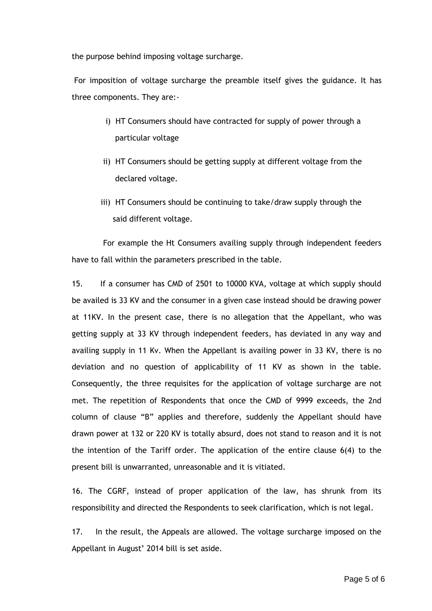the purpose behind imposing voltage surcharge.

For imposition of voltage surcharge the preamble itself gives the guidance. It has three components. They are:-

- i) HT Consumers should have contracted for supply of power through a particular voltage
- ii) HT Consumers should be getting supply at different voltage from the declared voltage.
- iii) HT Consumers should be continuing to take/draw supply through the said different voltage.

 For example the Ht Consumers availing supply through independent feeders have to fall within the parameters prescribed in the table.

15. If a consumer has CMD of 2501 to 10000 KVA, voltage at which supply should be availed is 33 KV and the consumer in a given case instead should be drawing power at 11KV. In the present case, there is no allegation that the Appellant, who was getting supply at 33 KV through independent feeders, has deviated in any way and availing supply in 11 Kv. When the Appellant is availing power in 33 KV, there is no deviation and no question of applicability of 11 KV as shown in the table. Consequently, the three requisites for the application of voltage surcharge are not met. The repetition of Respondents that once the CMD of 9999 exceeds, the 2nd column of clause "B" applies and therefore, suddenly the Appellant should have drawn power at 132 or 220 KV is totally absurd, does not stand to reason and it is not the intention of the Tariff order. The application of the entire clause 6(4) to the present bill is unwarranted, unreasonable and it is vitiated.

16. The CGRF, instead of proper application of the law, has shrunk from its responsibility and directed the Respondents to seek clarification, which is not legal.

17. In the result, the Appeals are allowed. The voltage surcharge imposed on the Appellant in August' 2014 bill is set aside.